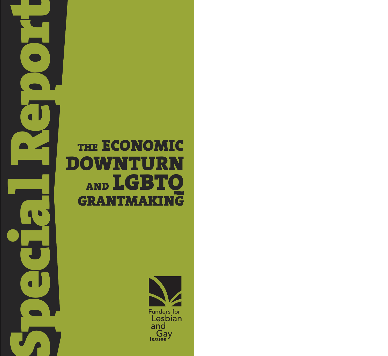## THE ECONOMIC **DOWNTURN** AND LGBTO **GRANTMAKING**

 $\blacksquare$ 

 $\blacksquare$ 

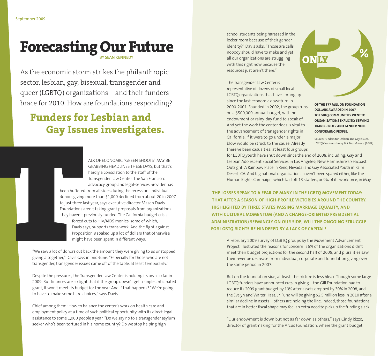# **Forecasting Our Future %**

As the economic storm strikes the philanthropic sector, lesbian, gay, bisexual, transgender and queer (LGBTQ) organizations—and their funders brace for 2010. How are foundations responding?

### **Funders for Lesbian and Gay Issues investigates.**

ALK OF ECONOMIC "GREEN SHOOTS" MAY BE GRABBING HEADLINES THESE DAYS, but that's hardly a consolation to the staff of the Transgender Law Center. The San Francisco advocacy group and legal-services provider has been buffeted from all sides during the recession: Individual donors giving more than \$1,000 declined from about 20 in 2007 to just three last year, says executive director Masen Davis. Foundations aren't taking grant proposals from organizations they haven't previously funded. The California budget crisis

> forced cuts to HIV/AIDS monies, some of which, Davis says, supports trans work. And the fight against Proposition 8 soaked up a lot of dollars that otherwise might have been spent in different ways.

"We saw a lot of donors cut back the amount they were giving to us or stopped giving altogether," Davis says in mid-June. "Especially for those who are not transgender, transgender issues came off of the table, at least temporarily."

Despite the pressures, the Transgender Law Center is holding its own so far in 2009. But finances are so tight that if the group doesn't get a single anticipated grant, it won't meet its budget for the year. And if that happens? "We're going to have to make some hard choices," says Davis.

Chief among them: How to balance the center's work on health care and employment policy at a time of such political opportunity with its direct legal assistance to some 1,000 people a year. "Do we say no to a transgender asylum seeker who's been tortured in his home country? Do we stop helping high

school students being harassed in the locker room because of their gender identity?" Davis asks. "Those are calls nobody should have to make and yet **BY SEAN KENNEDY**<br> **All our organizations are struggling**<br>
With this right now because the with this right now because the resources just aren't there."

> The Transgender Law Center is representative of dozens of small local LGBTQ organizations that have sprung up since the last economic downturn in 2000-2001. Founded in 2002, the group runs on a \$500,000 annual budget, with no endowment or rainy-day fund to speak of. And yet the work the center does is vital to the advancement of transgender rights in California. If it were to go under, a major blow would be struck to the cause. Already there've been casualties: at least four groups

**OF THE \$77 MILLION FOUNDATION DOLLARS AWARDED IN 2007 TO LGBTQ COMMUNITIES WENT TO ORGANIZATIONS EXPLICITLY SERVING TRANSGENDER AND GENDER NON-CONFORMING PEOPLE.**

Source: Funders for Lesbian and Gay Issues, *LGBTQ Grantmaking by U.S. Foundations (2007)*

for LGBTQ youth have shut down since the end of 2008, including: Gay and Lesbian Adolescent Social Services in Los Angeles; New Hampshire's Seacoast Outright; A Rainbow Place in Reno, Nevada; and Gay Associated Youth in Palm Desert, CA. And big national organizations haven't been spared either, like the Human Rights Campaign, which laid off 13 staffers, or 9% of its workforce, in May.

**THE LOSSES SPEAK TO A FEAR OF MANY IN THE LGBTQ MOVEMENT TODAY: THAT AFTER A SEASON OF HIGH-PROFILE VICTORIES AROUND THE COUNTRY, HIGHLIGHTED BY THREE STATES PASSING MARRIAGE EQUALITY, AND WITH CULTURAL MOMENTUM (AND A CHANGE-ORIENTED PRESIDENTIAL ADMINISTRATION) SEEMINGLY ON OUR SIDE, WILL THE ONGOING STRUGGLE FOR LGBTQ RIGHTS BE HINDERED BY A LACK OF CAPITAL?**

> A February 2009 survey of LGBTQ groups by the Movement Advancement Project illustrated the reasons for concern: 56% of the organizations didn't meet their budget projections for the second half of 2008, and pluralities saw their revenue decrease from individual, corporate and foundation giving over the same period in 2007.

But on the foundation side, at least, the picture is less bleak. Though some large LGBTQ funders have announced cuts in giving—the Gill Foundation had to reduce its 2009 grant budget by 10% after assets dropped by 30% in 2008, and the Evelyn and Walter Haas, Jr. Fund will be giving \$2.5 million less in 2010 after a similar decline in assets—others are holding the line. Indeed, those foundations that are in better fiscal shape may feel an extra need to pick up the funding slack.

"Our endowment is down but not as far down as others," says Cindy Rizzo, director of grantmaking for the Arcus Foundation, where the grant budget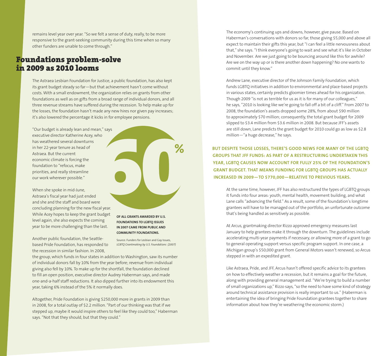remains level year over year. "So we felt a sense of duty, really, to be more responsive to the grant-seeking community during this time when so many other funders are unable to come through."

#### **Foundations problem-solve in 2009 as 2010 looms**

The Astraea Lesbian Foundation for Justice, a public foundation, has also kept its grant budget steady so far—but that achievement hasn't come without costs. With a small endowment, the organization relies on grants from other foundations as well as on gifts from a broad range of individual donors, and all three revenue streams have suffered during the recession. To help make up for the losses, the foundation hasn't made any new hires nor given pay increases; it's also lowered the percentage it kicks in for employee pensions.

"Our budget is already lean and mean," says executive director Katherine Acey, who has weathered several downturns in her 22-year tenure as head of Astraea. But the current economic climate is forcing the foundation to "refocus, make priorities, and really streamline our work wherever possible."

When she spoke in mid-June, Astraea's fiscal year had just ended and she and the staff and board were concluding planning for the new fiscal year. While Acey hopes to keep the grant budget level again, she also expects the coming year to be more challenging than the last.

**OF ALL GRANTS AWARDED BY U.S. FOUNDATIONS TO LGBTQ ISSUES IN 2007 CAME FROM PUBLIC AND COMMUNITY FOUNDATIONS.**

Another public foundation, the Seattlebased Pride Foundation, has responded to the recession in similar fashion. In 2008,

Source: Funders for Lesbian and Gay Issues, *LGBTQ Grantmaking by U.S. Foundations (2007)*

**%**

the group, which funds in four states in addition to Washington, saw its number of individual donors fall by 10% from the year before; revenue from individual giving also fell by 10%. To make up for the shortfall, the foundation declined to fill an open position, executive director Audrey Haberman says, and made one-and-a-half staff reductions. It also dipped further into its endowment this year, taking 6% instead of the 5% it normally does.

Altogether, Pride Foundation is giving \$250,000 more in grants in 2009 than in 2008, for a total outlay of \$2.2 million. "Part of our thinking was that if we stepped up, maybe it would inspire others to feel like they could too," Haberman says. "Not that they should, but that they could."

The economy's continuing ups and downs, however, give pause. Based on Haberman's conversations with donors so far, those giving \$5,000 and above all expect to maintain their gifts this year, but "I can feel a little nervousness about that," she says. "I think everyone's going to wait and see what it's like in October and November. Are we just going to be bouncing around like this for awhile? Are we on the way up or is there another down happening? No one wants to commit until they know."

Andrew Lane, executive director of the Johnson Family Foundation, which funds LGBTQ initiatives in addition to environmental and place-based projects in various states, certainly predicts gloomier times ahead for his organization. Though 2009 "is not as terrible for us as it is for many of our colleagues," he says, "2010 is looking like we're going to fall off a bit of a cliff." From 2007 to 2008, the foundation's assets dropped some 28%, from about \$90 million to approximately \$70 million; consequently, the total grant budget for 2009 slipped to \$3.4 million from \$3.6 million in 2008. But because JFF's assets are still down, Lane predicts the grant budget for 2010 could go as low as \$2.8 million—"a huge decrease," he says.

**BUT DESPITE THOSE LOSSES, THERE'S GOOD NEWS FOR MANY OF THE LGBTQ GROUPS THAT JFF FUNDS: AS PART OF A RESTRUCTURING UNDERTAKEN THIS YEAR, LGBTQ CAUSES NOW ACCOUNT FOR FULLY 25% OF THE FOUNDATION'S GRANT BUDGET. THAT MEANS FUNDING FOR LGBTQ GROUPS HAS ACTUALLY INCREASED IN 2009—TO \$770,000—RELATIVE TO PREVIOUS YEARS.**

At the same time, however, JFF has also restructured the types of LGBTQ groups it funds into four areas: youth, mental health, movement building, and what Lane calls "advancing the field." As a result, some of the foundation's longtime grantees will have to be managed out of the portfolio, an unfortunate outcome that's being handled as sensitively as possible.

At Arcus, grantmaking director Rizzo approved emergency measures last January to help grantees make it through the downturn. The guidelines include accelerating multi-year payments if necessary, or allowing more of a grant to go to general operating support versus specific program support. In one case, a Michigan group's \$50,000 grant from General Motors wasn't renewed, so Arcus stepped in with an expedited grant.

Like Astraea, Pride, and JFF, Arcus hasn't offered specific advice to its grantees on how to effectively weather a recession, but it remains a goal for the future, along with providing general management aid. "We're trying to build a number of small organizations up," Rizzo says, "so the need to have some kind of strategy around technical assistance provision is really important to us." (Haberman is entertaining the idea of bringing Pride Foundation grantees together to share information about how they're weathering the economic storm.)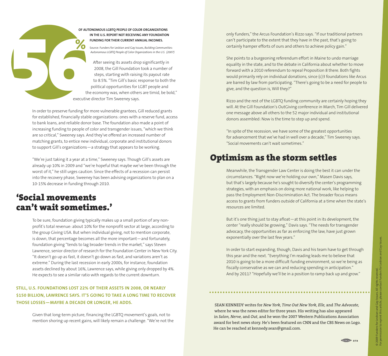

Source: Funders for Lesbian and Gay Issues, *Building Communities:* **%** *Autonomous LGBTQ People of Color Organizations in the U.S. (2007)*

After seeing its assets drop significantly in 2008, the Gill Foundation took a number of steps, starting with raising its payout rate to 8.5%. "Tim Gill's basic response to both the political opportunities for LGBT people and the economy was, when others are timid, be bold," executive director Tim Sweeney says.

In order to preserve funding for more vulnerable grantees, Gill reduced grants for established, financially stable organizations: ones with a reserve fund, access to bank loans, and reliable donor base. The foundation also made a point of increasing funding to people of color and transgender issues, "which we think are so critical," Sweeney says. And they've offered an increased number of matching grants, to entice new individual, corporate and institutional donors to support Gill's organizations—a strategy that appears to be working.

"We're just taking it a year at a time," Sweeney says. Though Gill's assets are already up 10% in 2009 and "we're hopeful that maybe we've been through the worst of it," he still urges caution. Since the effects of a recession can persist into the recovery phase, Sweeney has been advising organizations to plan on a 10-15% decrease in funding through 2010.

### **'Social movements can't wait sometimes.'**

To be sure, foundation giving typically makes up a small portion of any nonprofit's total revenue: about 10% for the nonprofit sector at large, according to the group Giving USA. But when individual giving, not to mention corporate, is down, that percentage becomes all the more important—and fortunately, foundation giving "tends to lag broader trends in the market," says Steven Lawrence, senior director of research for the Foundation Center in New York City. "It doesn't go up as fast, it doesn't go down as fast, and variations aren't as extreme." During the last recession in early 2000s, for instance, foundation assets declined by about 16%, Lawrence says, while giving only dropped by 4%. He expects to see a similar ratio with regards to the current downturn.

#### **STILL, U.S. FOUNDATIONS LOST 22% OF THEIR ASSETS IN 2008, OR NEARLY \$150 BILLION, LAWRENCE SAYS. IT'S GOING TO TAKE A LONG TIME TO RECOVER THOSE LOSSES—MAYBE A DECADE OR LONGER, HE ADDS.**

Given that long-term picture, financing the LGBTQ movement's goals, not to mention shoring up recent gains, will likely remain a challenge. "We're not the only funders," the Arcus Foundation's Rizzo says. "If our traditional partners can't participate to the extent that they have in the past, that's going to certainly hamper efforts of ours and others to achieve policy gain."

She points to a burgeoning referendum effort in Maine to undo marriage equality in the state, and to the debate in California about whether to move forward with a 2010 referendum to repeal Proposition 8 there. Both fights would primarily rely on individual donations, since (c)3 foundations like Arcus are barred by law from participating. "There's going to be a need for people to give, and the question is, Will they?"

Rizzo and the rest of the LGBTQ funding community are certainly hoping they will. At the Gill Foundation's OutGiving conference in March, Tim Gill delivered one message above all others to the 52 major individual and institutional donors assembled: Now is the time to step up and spend.

"In spite of the recession, we have some of the greatest opportunities for advancement that we've had in well over a decade," Tim Sweeney says. "Social movements can't wait sometimes."

### **Optimism as the storm settles**

Meanwhile, the Transgender Law Center is doing the best it can under the circumstances. "Right now we're holding our own," Masen Davis says, but that's largely because he's sought to diversify the center's programming strategies, with an emphasis on doing more national work, like helping to pass the Employment Non-Discrimination Act. The broader focus means access to grants from funders outside of California at a time when the state's resources are limited.

But it's one thing just to stay afloat—at this point in its development, the center "really should be growing," Davis says. "The needs for transgender advocacy, the opportunities as far as enforcing the law, have just grown exponentially over the last few years."

In order to start expanding, though, Davis and his team have to get through this year and the next. "Everything I'm reading leads me to believe that 2010 is going to be a more difficult funding environment, so we're being as fiscally conservative as we can and reducing spending in anticipation." And by 2011? "Hopefully we'll be in a position to ramp back up and grow."

SEAN KENNEDY writes for *New York, Time Out New York, Elle,* and *The Advocate,* where he was the news editor for three years. His writing has also appeared in *Salon, Nerve,* and *Out*, and he won the 2007 Western Publications Association award for best news story. He's been featured on CNN and the CBS News on Logo. He can be reached at kennedy.sean@gmail.com.